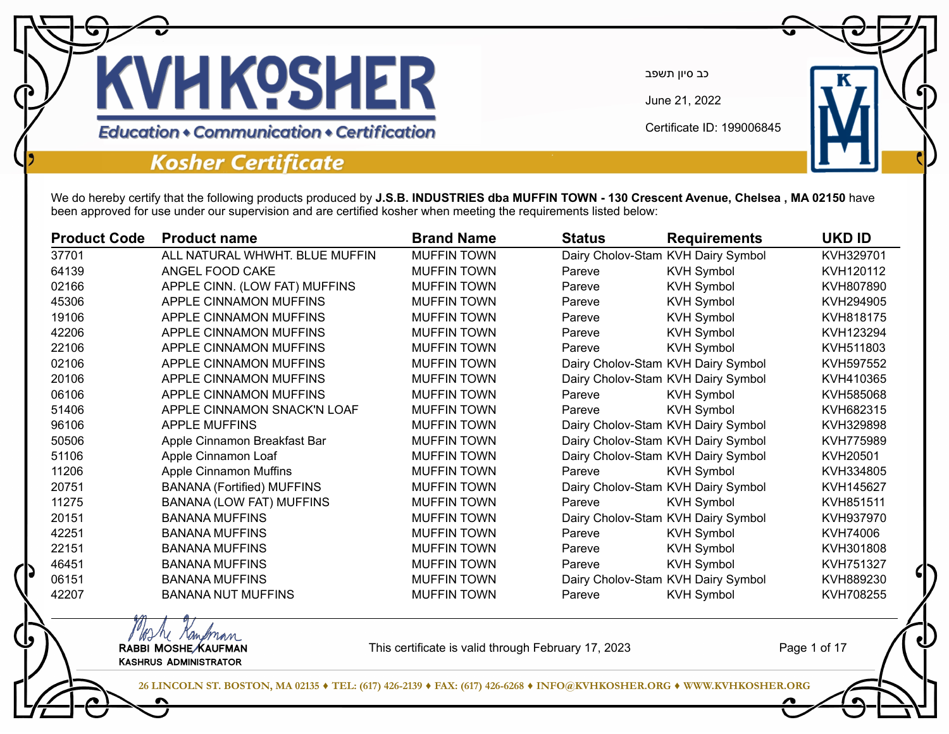

June 21, 2022

Certificate ID: 199006845

#### **Education • Communication • Certification**

### **Kosher Certificate**

We do hereby certify that the following products produced by **J.S.B. INDUSTRIES dba MUFFIN TOWN - 130 Crescent Avenue, Chelsea , MA 02150** have been approved for use under our supervision and are certified kosher when meeting the requirements listed below:

| <b>Product Code</b> | <b>Product name</b>               | <b>Brand Name</b>  | <b>Status</b> | <b>Requirements</b>                | <b>UKD ID</b> |
|---------------------|-----------------------------------|--------------------|---------------|------------------------------------|---------------|
| 37701               | ALL NATURAL WHWHT. BLUE MUFFIN    | <b>MUFFIN TOWN</b> |               | Dairy Cholov-Stam KVH Dairy Symbol | KVH329701     |
| 64139               | ANGEL FOOD CAKE                   | <b>MUFFIN TOWN</b> | Pareve        | <b>KVH Symbol</b>                  | KVH120112     |
| 02166               | APPLE CINN. (LOW FAT) MUFFINS     | <b>MUFFIN TOWN</b> | Pareve        | <b>KVH Symbol</b>                  | KVH807890     |
| 45306               | APPLE CINNAMON MUFFINS            | <b>MUFFIN TOWN</b> | Pareve        | <b>KVH Symbol</b>                  | KVH294905     |
| 19106               | APPLE CINNAMON MUFFINS            | <b>MUFFIN TOWN</b> | Pareve        | <b>KVH Symbol</b>                  | KVH818175     |
| 42206               | APPLE CINNAMON MUFFINS            | <b>MUFFIN TOWN</b> | Pareve        | <b>KVH Symbol</b>                  | KVH123294     |
| 22106               | APPLE CINNAMON MUFFINS            | <b>MUFFIN TOWN</b> | Pareve        | <b>KVH Symbol</b>                  | KVH511803     |
| 02106               | APPLE CINNAMON MUFFINS            | <b>MUFFIN TOWN</b> |               | Dairy Cholov-Stam KVH Dairy Symbol | KVH597552     |
| 20106               | APPLE CINNAMON MUFFINS            | <b>MUFFIN TOWN</b> |               | Dairy Cholov-Stam KVH Dairy Symbol | KVH410365     |
| 06106               | APPLE CINNAMON MUFFINS            | <b>MUFFIN TOWN</b> | Pareve        | <b>KVH Symbol</b>                  | KVH585068     |
| 51406               | APPLE CINNAMON SNACK'N LOAF       | <b>MUFFIN TOWN</b> | Pareve        | <b>KVH Symbol</b>                  | KVH682315     |
| 96106               | <b>APPLE MUFFINS</b>              | <b>MUFFIN TOWN</b> |               | Dairy Cholov-Stam KVH Dairy Symbol | KVH329898     |
| 50506               | Apple Cinnamon Breakfast Bar      | <b>MUFFIN TOWN</b> |               | Dairy Cholov-Stam KVH Dairy Symbol | KVH775989     |
| 51106               | Apple Cinnamon Loaf               | <b>MUFFIN TOWN</b> |               | Dairy Cholov-Stam KVH Dairy Symbol | KVH20501      |
| 11206               | <b>Apple Cinnamon Muffins</b>     | <b>MUFFIN TOWN</b> | Pareve        | <b>KVH Symbol</b>                  | KVH334805     |
| 20751               | <b>BANANA (Fortified) MUFFINS</b> | <b>MUFFIN TOWN</b> |               | Dairy Cholov-Stam KVH Dairy Symbol | KVH145627     |
| 11275               | <b>BANANA (LOW FAT) MUFFINS</b>   | <b>MUFFIN TOWN</b> | Pareve        | <b>KVH Symbol</b>                  | KVH851511     |
| 20151               | <b>BANANA MUFFINS</b>             | <b>MUFFIN TOWN</b> |               | Dairy Cholov-Stam KVH Dairy Symbol | KVH937970     |
| 42251               | <b>BANANA MUFFINS</b>             | <b>MUFFIN TOWN</b> | Pareve        | <b>KVH Symbol</b>                  | KVH74006      |
| 22151               | <b>BANANA MUFFINS</b>             | <b>MUFFIN TOWN</b> | Pareve        | <b>KVH Symbol</b>                  | KVH301808     |
| 46451               | <b>BANANA MUFFINS</b>             | <b>MUFFIN TOWN</b> | Pareve        | <b>KVH Symbol</b>                  | KVH751327     |
| 06151               | <b>BANANA MUFFINS</b>             | <b>MUFFIN TOWN</b> |               | Dairy Cholov-Stam KVH Dairy Symbol | KVH889230     |
| 42207               | <b>BANANA NUT MUFFINS</b>         | <b>MUFFIN TOWN</b> | Pareve        | <b>KVH Symbol</b>                  | KVH708255     |

MAN Kampman<br>RABBI MOSHE KAUFMAN Kashrus Administrator

This certificate is valid through February 17, 2023

Page 1 of 17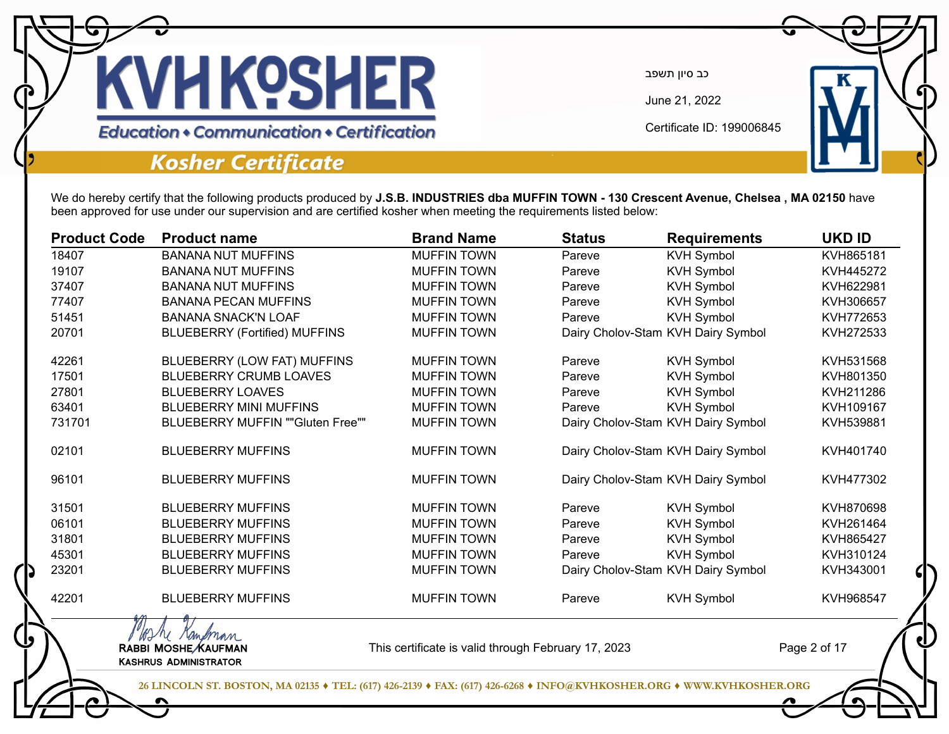

June 21, 2022

Certificate ID: 199006845

**Education • Communication • Certification** 

### **Kosher Certificate**

We do hereby certify that the following products produced by **J.S.B. INDUSTRIES dba MUFFIN TOWN - 130 Crescent Avenue, Chelsea , MA 02150** have been approved for use under our supervision and are certified kosher when meeting the requirements listed below:

| <b>Product Code</b> | <b>Product name</b>                                              | <b>Brand Name</b>                                   | <b>Status</b> | <b>Requirements</b>                | <b>UKD ID</b> |
|---------------------|------------------------------------------------------------------|-----------------------------------------------------|---------------|------------------------------------|---------------|
| 18407               | <b>BANANA NUT MUFFINS</b>                                        | <b>MUFFIN TOWN</b>                                  | Pareve        | <b>KVH Symbol</b>                  | KVH865181     |
| 19107               | <b>BANANA NUT MUFFINS</b>                                        | <b>MUFFIN TOWN</b>                                  | Pareve        | <b>KVH Symbol</b>                  | KVH445272     |
| 37407               | <b>BANANA NUT MUFFINS</b>                                        | <b>MUFFIN TOWN</b>                                  | Pareve        | <b>KVH Symbol</b>                  | KVH622981     |
| 77407               | <b>BANANA PECAN MUFFINS</b>                                      | <b>MUFFIN TOWN</b>                                  | Pareve        | <b>KVH Symbol</b>                  | KVH306657     |
| 51451               | <b>BANANA SNACK'N LOAF</b>                                       | <b>MUFFIN TOWN</b>                                  | Pareve        | <b>KVH Symbol</b>                  | KVH772653     |
| 20701               | <b>BLUEBERRY (Fortified) MUFFINS</b>                             | <b>MUFFIN TOWN</b>                                  |               | Dairy Cholov-Stam KVH Dairy Symbol | KVH272533     |
| 42261               | BLUEBERRY (LOW FAT) MUFFINS                                      | <b>MUFFIN TOWN</b>                                  | Pareve        | <b>KVH Symbol</b>                  | KVH531568     |
| 17501               | <b>BLUEBERRY CRUMB LOAVES</b>                                    | <b>MUFFIN TOWN</b>                                  | Pareve        | <b>KVH Symbol</b>                  | KVH801350     |
| 27801               | <b>BLUEBERRY LOAVES</b>                                          | <b>MUFFIN TOWN</b>                                  | Pareve        | <b>KVH Symbol</b>                  | KVH211286     |
| 63401               | <b>BLUEBERRY MINI MUFFINS</b>                                    | <b>MUFFIN TOWN</b>                                  | Pareve        | <b>KVH Symbol</b>                  | KVH109167     |
| 731701              | <b>BLUEBERRY MUFFIN ""Gluten Free""</b>                          | <b>MUFFIN TOWN</b>                                  |               | Dairy Cholov-Stam KVH Dairy Symbol | KVH539881     |
| 02101               | <b>BLUEBERRY MUFFINS</b>                                         | <b>MUFFIN TOWN</b>                                  |               | Dairy Cholov-Stam KVH Dairy Symbol | KVH401740     |
| 96101               | <b>BLUEBERRY MUFFINS</b>                                         | <b>MUFFIN TOWN</b>                                  |               | Dairy Cholov-Stam KVH Dairy Symbol | KVH477302     |
| 31501               | <b>BLUEBERRY MUFFINS</b>                                         | <b>MUFFIN TOWN</b>                                  | Pareve        | <b>KVH Symbol</b>                  | KVH870698     |
| 06101               | <b>BLUEBERRY MUFFINS</b>                                         | <b>MUFFIN TOWN</b>                                  | Pareve        | <b>KVH Symbol</b>                  | KVH261464     |
| 31801               | <b>BLUEBERRY MUFFINS</b>                                         | <b>MUFFIN TOWN</b>                                  | Pareve        | <b>KVH Symbol</b>                  | KVH865427     |
| 45301               | <b>BLUEBERRY MUFFINS</b>                                         | <b>MUFFIN TOWN</b>                                  | Pareve        | <b>KVH Symbol</b>                  | KVH310124     |
| 23201               | <b>BLUEBERRY MUFFINS</b>                                         | <b>MUFFIN TOWN</b>                                  |               | Dairy Cholov-Stam KVH Dairy Symbol | KVH343001     |
| 42201               | <b>BLUEBERRY MUFFINS</b>                                         | <b>MUFFIN TOWN</b>                                  | Pareve        | <b>KVH Symbol</b>                  | KVH968547     |
|                     | M randman<br>RABBI MOSHE KAUFMAN<br><b>KASHRUS ADMINISTRATOR</b> | This certificate is valid through February 17, 2023 |               |                                    | Page 2 of 17  |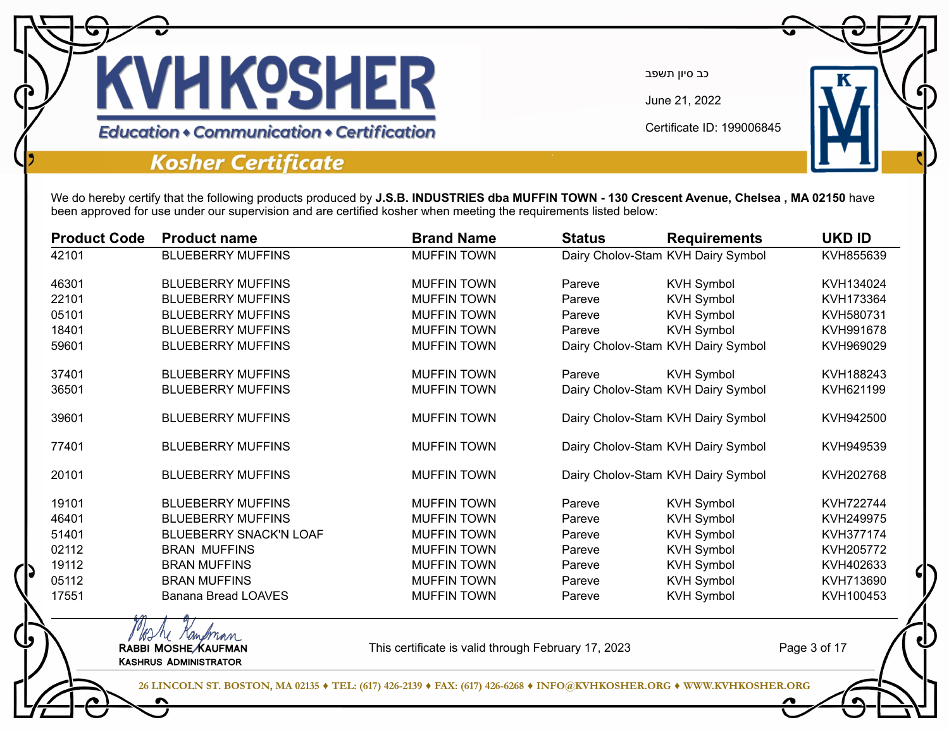

June 21, 2022

Certificate ID: 199006845

**Education • Communication • Certification** 

### **Kosher Certificate**

We do hereby certify that the following products produced by **J.S.B. INDUSTRIES dba MUFFIN TOWN - 130 Crescent Avenue, Chelsea , MA 02150** have been approved for use under our supervision and are certified kosher when meeting the requirements listed below:

| <b>Product Code</b> | <b>Product name</b>           | <b>Brand Name</b>  | <b>Status</b> | <b>Requirements</b>                | <b>UKD ID</b> |
|---------------------|-------------------------------|--------------------|---------------|------------------------------------|---------------|
| 42101               | <b>BLUEBERRY MUFFINS</b>      | <b>MUFFIN TOWN</b> |               | Dairy Cholov-Stam KVH Dairy Symbol | KVH855639     |
| 46301               | <b>BLUEBERRY MUFFINS</b>      | <b>MUFFIN TOWN</b> | Pareve        | <b>KVH Symbol</b>                  | KVH134024     |
| 22101               | <b>BLUEBERRY MUFFINS</b>      | <b>MUFFIN TOWN</b> | Pareve        | <b>KVH Symbol</b>                  | KVH173364     |
| 05101               | <b>BLUEBERRY MUFFINS</b>      | <b>MUFFIN TOWN</b> | Pareve        | <b>KVH Symbol</b>                  | KVH580731     |
| 18401               | <b>BLUEBERRY MUFFINS</b>      | <b>MUFFIN TOWN</b> | Pareve        | <b>KVH Symbol</b>                  | KVH991678     |
| 59601               | <b>BLUEBERRY MUFFINS</b>      | <b>MUFFIN TOWN</b> |               | Dairy Cholov-Stam KVH Dairy Symbol | KVH969029     |
| 37401               | <b>BLUEBERRY MUFFINS</b>      | <b>MUFFIN TOWN</b> | Pareve        | <b>KVH Symbol</b>                  | KVH188243     |
| 36501               | <b>BLUEBERRY MUFFINS</b>      | <b>MUFFIN TOWN</b> |               | Dairy Cholov-Stam KVH Dairy Symbol |               |
| 39601               | <b>BLUEBERRY MUFFINS</b>      | <b>MUFFIN TOWN</b> |               | Dairy Cholov-Stam KVH Dairy Symbol | KVH942500     |
| 77401               | <b>BLUEBERRY MUFFINS</b>      | <b>MUFFIN TOWN</b> |               | Dairy Cholov-Stam KVH Dairy Symbol | KVH949539     |
| 20101               | <b>BLUEBERRY MUFFINS</b>      | <b>MUFFIN TOWN</b> |               | Dairy Cholov-Stam KVH Dairy Symbol | KVH202768     |
| 19101               | <b>BLUEBERRY MUFFINS</b>      | <b>MUFFIN TOWN</b> | Pareve        | <b>KVH Symbol</b>                  | KVH722744     |
| 46401               | <b>BLUEBERRY MUFFINS</b>      | <b>MUFFIN TOWN</b> | Pareve        | <b>KVH Symbol</b>                  | KVH249975     |
| 51401               | <b>BLUEBERRY SNACK'N LOAF</b> | <b>MUFFIN TOWN</b> | Pareve        | <b>KVH Symbol</b>                  | KVH377174     |
| 02112               | <b>BRAN MUFFINS</b>           | <b>MUFFIN TOWN</b> | Pareve        | <b>KVH Symbol</b>                  | KVH205772     |
| 19112               | <b>BRAN MUFFINS</b>           | <b>MUFFIN TOWN</b> | Pareve        | <b>KVH Symbol</b>                  | KVH402633     |
| 05112               | <b>BRAN MUFFINS</b>           | <b>MUFFIN TOWN</b> | Pareve        | <b>KVH Symbol</b>                  | KVH713690     |
| 17551               | <b>Banana Bread LOAVES</b>    | <b>MUFFIN TOWN</b> | Pareve        | <b>KVH Symbol</b>                  | KVH100453     |

MAN Kampman<br>RABBI MOSHE KAUFMAN Kashrus Administrator

This certificate is valid through February 17, 2023

Page 3 of 17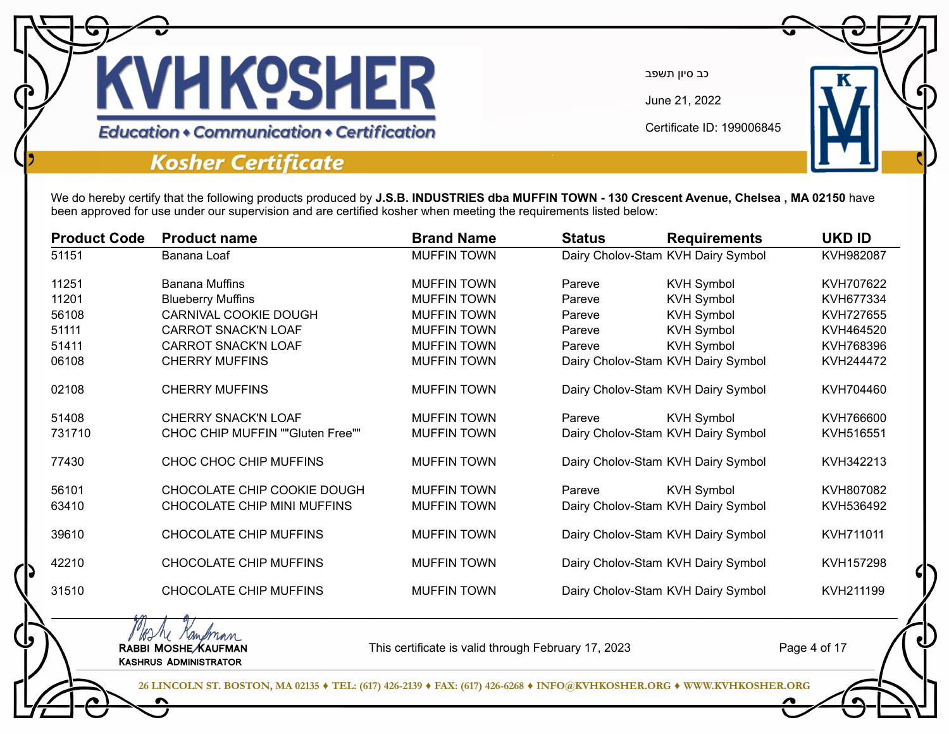

June 21, 2022

Certificate ID: 199006845

**Education • Communication • Certification** 

### **Kosher Certificate**

MAN Kampman<br>RABBI MOSHE KAUFMAN Kashrus Administrator

We do hereby certify that the following products produced by **J.S.B. INDUSTRIES dba MUFFIN TOWN - 130 Crescent Avenue, Chelsea , MA 02150** have been approved for use under our supervision and are certified kosher when meeting the requirements listed below:

| <b>Product Code</b> | <b>Product name</b>              | <b>Brand Name</b>  | <b>Status</b> | <b>Requirements</b>                | <b>UKD ID</b> |
|---------------------|----------------------------------|--------------------|---------------|------------------------------------|---------------|
| 51151               | Banana Loaf                      | <b>MUFFIN TOWN</b> |               | Dairy Cholov-Stam KVH Dairy Symbol | KVH982087     |
| 11251               | <b>Banana Muffins</b>            | <b>MUFFIN TOWN</b> | Pareve        | <b>KVH Symbol</b>                  | KVH707622     |
| 11201               | <b>Blueberry Muffins</b>         | <b>MUFFIN TOWN</b> | Pareve        | <b>KVH Symbol</b>                  | KVH677334     |
| 56108               | CARNIVAL COOKIE DOUGH            | <b>MUFFIN TOWN</b> | Pareve        | <b>KVH Symbol</b>                  | KVH727655     |
| 51111               | <b>CARROT SNACK'N LOAF</b>       | <b>MUFFIN TOWN</b> | Pareve        | <b>KVH Symbol</b>                  | KVH464520     |
| 51411               | <b>CARROT SNACK'N LOAF</b>       | <b>MUFFIN TOWN</b> | Pareve        | <b>KVH Symbol</b>                  | KVH768396     |
| 06108               | <b>CHERRY MUFFINS</b>            | <b>MUFFIN TOWN</b> |               | Dairy Cholov-Stam KVH Dairy Symbol | KVH244472     |
| 02108               | <b>CHERRY MUFFINS</b>            | <b>MUFFIN TOWN</b> |               | Dairy Cholov-Stam KVH Dairy Symbol | KVH704460     |
| 51408               | <b>CHERRY SNACK'N LOAF</b>       | <b>MUFFIN TOWN</b> | Pareve        | <b>KVH Symbol</b>                  | KVH766600     |
| 731710              | CHOC CHIP MUFFIN ""Gluten Free"" | <b>MUFFIN TOWN</b> |               | Dairy Cholov-Stam KVH Dairy Symbol | KVH516551     |
| 77430               | CHOC CHOC CHIP MUFFINS           | <b>MUFFIN TOWN</b> |               | Dairy Cholov-Stam KVH Dairy Symbol | KVH342213     |
| 56101               | CHOCOLATE CHIP COOKIE DOUGH      | <b>MUFFIN TOWN</b> | Pareve        | <b>KVH Symbol</b>                  | KVH807082     |
| 63410               | CHOCOLATE CHIP MINI MUFFINS      | <b>MUFFIN TOWN</b> |               | Dairy Cholov-Stam KVH Dairy Symbol | KVH536492     |
| 39610               | <b>CHOCOLATE CHIP MUFFINS</b>    | <b>MUFFIN TOWN</b> |               | Dairy Cholov-Stam KVH Dairy Symbol | KVH711011     |
| 42210               | CHOCOLATE CHIP MUFFINS           | <b>MUFFIN TOWN</b> |               | Dairy Cholov-Stam KVH Dairy Symbol | KVH157298     |
| 31510               | <b>CHOCOLATE CHIP MUFFINS</b>    | <b>MUFFIN TOWN</b> |               | Dairy Cholov-Stam KVH Dairy Symbol | KVH211199     |
|                     |                                  |                    |               |                                    |               |

This certificate is valid through February 17, 2023

Page 4 of 17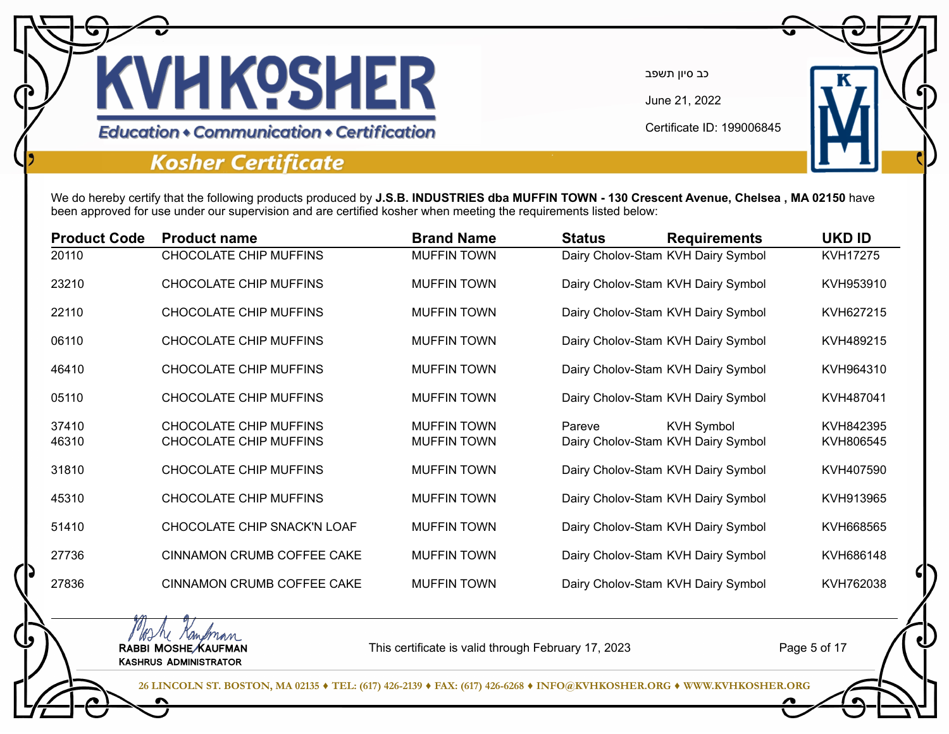

June 21, 2022

Certificate ID: 199006845

**Education • Communication • Certification** 

### **Kosher Certificate**

We do hereby certify that the following products produced by **J.S.B. INDUSTRIES dba MUFFIN TOWN - 130 Crescent Avenue, Chelsea , MA 02150** have been approved for use under our supervision and are certified kosher when meeting the requirements listed below:

| <b>Product Code</b> | <b>Product name</b>                                            | <b>Brand Name</b>                        | <b>Status</b> | <b>Requirements</b>                                     | <b>UKD ID</b>          |
|---------------------|----------------------------------------------------------------|------------------------------------------|---------------|---------------------------------------------------------|------------------------|
| 20110               | <b>CHOCOLATE CHIP MUFFINS</b>                                  | <b>MUFFIN TOWN</b>                       |               | Dairy Cholov-Stam KVH Dairy Symbol                      | KVH17275               |
| 23210               | CHOCOLATE CHIP MUFFINS                                         | <b>MUFFIN TOWN</b>                       |               | Dairy Cholov-Stam KVH Dairy Symbol                      | KVH953910              |
| 22110               | CHOCOLATE CHIP MUFFINS                                         | <b>MUFFIN TOWN</b>                       |               | Dairy Cholov-Stam KVH Dairy Symbol                      | KVH627215              |
| 06110               | CHOCOLATE CHIP MUFFINS                                         | <b>MUFFIN TOWN</b>                       |               | Dairy Cholov-Stam KVH Dairy Symbol                      | KVH489215              |
| 46410               | CHOCOLATE CHIP MUFFINS                                         | <b>MUFFIN TOWN</b>                       |               | Dairy Cholov-Stam KVH Dairy Symbol                      | KVH964310              |
| 05110               | <b>CHOCOLATE CHIP MUFFINS</b>                                  | <b>MUFFIN TOWN</b>                       |               | Dairy Cholov-Stam KVH Dairy Symbol                      | KVH487041              |
| 37410<br>46310      | <b>CHOCOLATE CHIP MUFFINS</b><br><b>CHOCOLATE CHIP MUFFINS</b> | <b>MUFFIN TOWN</b><br><b>MUFFIN TOWN</b> | Pareve        | <b>KVH Symbol</b><br>Dairy Cholov-Stam KVH Dairy Symbol | KVH842395<br>KVH806545 |
| 31810               | <b>CHOCOLATE CHIP MUFFINS</b>                                  | <b>MUFFIN TOWN</b>                       |               | Dairy Cholov-Stam KVH Dairy Symbol                      | KVH407590              |
| 45310               | <b>CHOCOLATE CHIP MUFFINS</b>                                  | <b>MUFFIN TOWN</b>                       |               | Dairy Cholov-Stam KVH Dairy Symbol                      | KVH913965              |
| 51410               | CHOCOLATE CHIP SNACK'N LOAF                                    | <b>MUFFIN TOWN</b>                       |               | Dairy Cholov-Stam KVH Dairy Symbol                      | KVH668565              |
| 27736               | CINNAMON CRUMB COFFEE CAKE                                     | <b>MUFFIN TOWN</b>                       |               | Dairy Cholov-Stam KVH Dairy Symbol                      | KVH686148              |
| 27836               | <b>CINNAMON CRUMB COFFEE CAKE</b>                              | <b>MUFFIN TOWN</b>                       |               | Dairy Cholov-Stam KVH Dairy Symbol                      | KVH762038              |
|                     |                                                                |                                          |               |                                                         |                        |

WIM Kampman<br>RABBI MOSHE KAUFMAN Kashrus Administrator

This certificate is valid through February 17, 2023

Page 5 of 17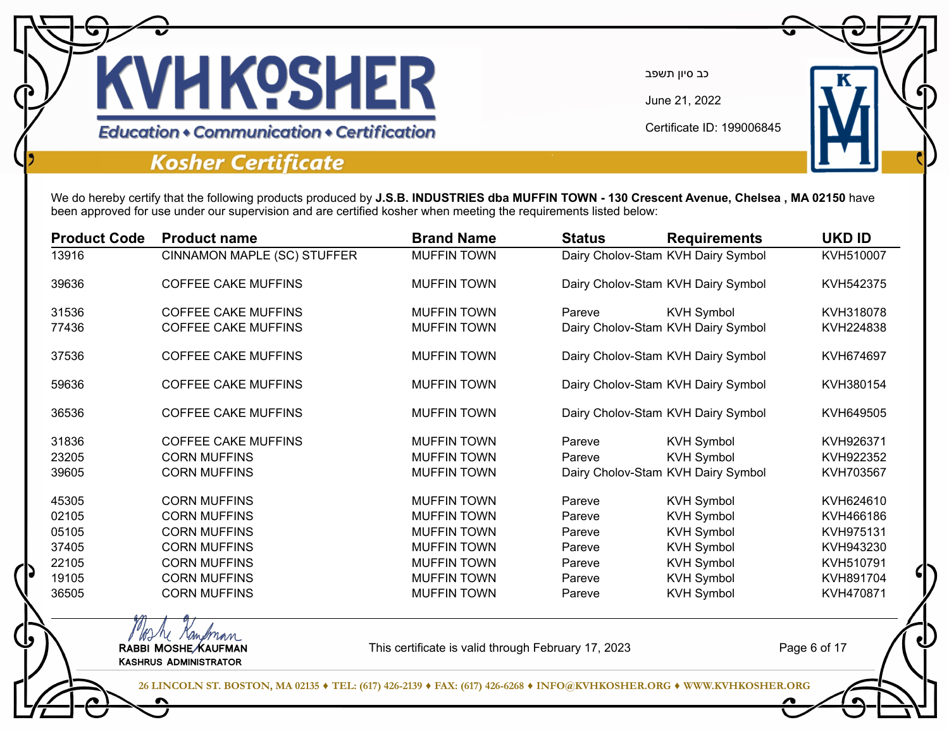

June 21, 2022

Certificate ID: 199006845

**Education + Communication + Certification** 

### **Kosher Certificate**

Kashrus Administrator

We do hereby certify that the following products produced by **J.S.B. INDUSTRIES dba MUFFIN TOWN - 130 Crescent Avenue, Chelsea , MA 02150** have been approved for use under our supervision and are certified kosher when meeting the requirements listed below:

| <b>Product Code</b> | <b>Product name</b>         | <b>Brand Name</b>  | <b>Status</b> | <b>Requirements</b>                | <b>UKD ID</b> |
|---------------------|-----------------------------|--------------------|---------------|------------------------------------|---------------|
| 13916               | CINNAMON MAPLE (SC) STUFFER | <b>MUFFIN TOWN</b> |               | Dairy Cholov-Stam KVH Dairy Symbol | KVH510007     |
| 39636               | <b>COFFEE CAKE MUFFINS</b>  | <b>MUFFIN TOWN</b> |               | Dairy Cholov-Stam KVH Dairy Symbol | KVH542375     |
| 31536               | <b>COFFEE CAKE MUFFINS</b>  | <b>MUFFIN TOWN</b> | Pareve        | <b>KVH Symbol</b>                  | KVH318078     |
| 77436               | <b>COFFEE CAKE MUFFINS</b>  | <b>MUFFIN TOWN</b> |               | Dairy Cholov-Stam KVH Dairy Symbol | KVH224838     |
| 37536               | <b>COFFEE CAKE MUFFINS</b>  | <b>MUFFIN TOWN</b> |               | Dairy Cholov-Stam KVH Dairy Symbol | KVH674697     |
| 59636               | <b>COFFEE CAKE MUFFINS</b>  | <b>MUFFIN TOWN</b> |               | Dairy Cholov-Stam KVH Dairy Symbol | KVH380154     |
| 36536               | <b>COFFEE CAKE MUFFINS</b>  | <b>MUFFIN TOWN</b> |               | Dairy Cholov-Stam KVH Dairy Symbol | KVH649505     |
| 31836               | <b>COFFEE CAKE MUFFINS</b>  | <b>MUFFIN TOWN</b> | Pareve        | <b>KVH Symbol</b>                  | KVH926371     |
| 23205               | <b>CORN MUFFINS</b>         | <b>MUFFIN TOWN</b> | Pareve        | <b>KVH Symbol</b>                  | KVH922352     |
| 39605               | <b>CORN MUFFINS</b>         | <b>MUFFIN TOWN</b> |               | Dairy Cholov-Stam KVH Dairy Symbol | KVH703567     |
| 45305               | <b>CORN MUFFINS</b>         | <b>MUFFIN TOWN</b> | Pareve        | <b>KVH Symbol</b>                  | KVH624610     |
| 02105               | <b>CORN MUFFINS</b>         | <b>MUFFIN TOWN</b> | Pareve        | <b>KVH Symbol</b>                  | KVH466186     |
| 05105               | <b>CORN MUFFINS</b>         | <b>MUFFIN TOWN</b> | Pareve        | <b>KVH Symbol</b>                  | KVH975131     |
| 37405               | <b>CORN MUFFINS</b>         | <b>MUFFIN TOWN</b> | Pareve        | <b>KVH Symbol</b>                  | KVH943230     |
| 22105               | <b>CORN MUFFINS</b>         | <b>MUFFIN TOWN</b> | Pareve        | <b>KVH Symbol</b>                  | KVH510791     |
| 19105               | <b>CORN MUFFINS</b>         | <b>MUFFIN TOWN</b> | Pareve        | <b>KVH Symbol</b>                  | KVH891704     |
| 36505               | <b>CORN MUFFINS</b>         | <b>MUFFIN TOWN</b> | Pareve        | <b>KVH Symbol</b>                  | KVH470871     |

This certificate is valid through February 17, 2023

Page 6 of 17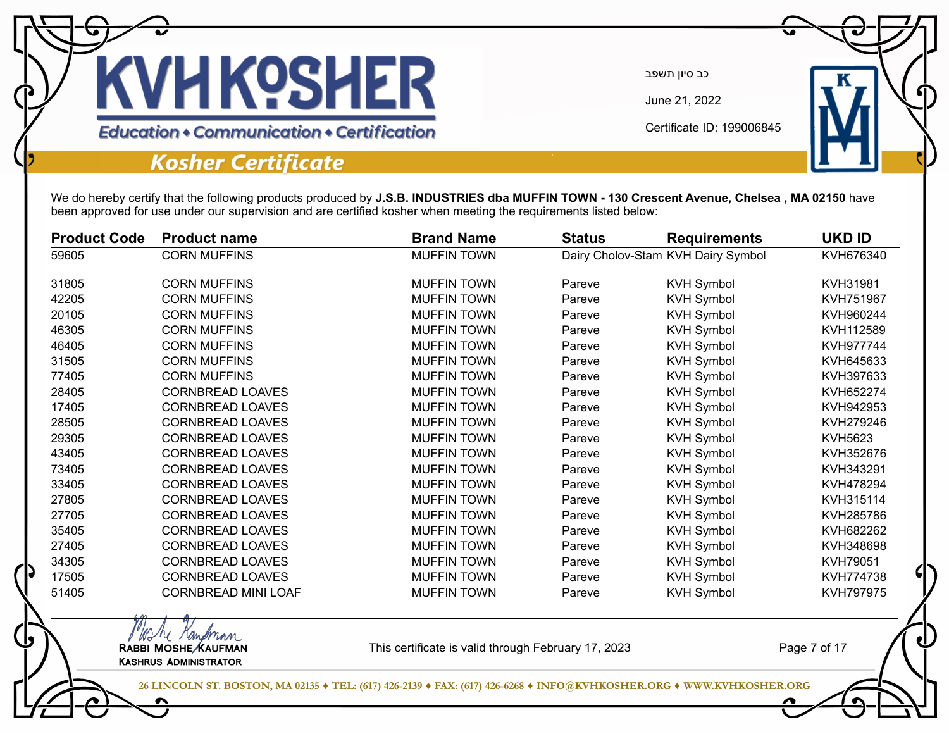

June 21, 2022

Certificate ID: 199006845

**Education • Communication • Certification** 

### **Kosher Certificate**

WIM Kampman<br>RABBI MOSHE KAUFMAN Kashrus Administrator

We do hereby certify that the following products produced by **J.S.B. INDUSTRIES dba MUFFIN TOWN - 130 Crescent Avenue, Chelsea , MA 02150** have been approved for use under our supervision and are certified kosher when meeting the requirements listed below:

| <b>Product Code</b> | <b>Product name</b>        | <b>Brand Name</b>  | <b>Status</b> | <b>Requirements</b>                | <b>UKD ID</b>  |
|---------------------|----------------------------|--------------------|---------------|------------------------------------|----------------|
| 59605               | <b>CORN MUFFINS</b>        | <b>MUFFIN TOWN</b> |               | Dairy Cholov-Stam KVH Dairy Symbol | KVH676340      |
| 31805               | <b>CORN MUFFINS</b>        | <b>MUFFIN TOWN</b> | Pareve        | <b>KVH Symbol</b>                  | KVH31981       |
| 42205               | <b>CORN MUFFINS</b>        | <b>MUFFIN TOWN</b> | Pareve        | <b>KVH Symbol</b>                  | KVH751967      |
| 20105               | <b>CORN MUFFINS</b>        | <b>MUFFIN TOWN</b> | Pareve        | <b>KVH Symbol</b>                  | KVH960244      |
| 46305               | <b>CORN MUFFINS</b>        | <b>MUFFIN TOWN</b> | Pareve        | <b>KVH Symbol</b>                  | KVH112589      |
| 46405               | <b>CORN MUFFINS</b>        | <b>MUFFIN TOWN</b> | Pareve        | <b>KVH Symbol</b>                  | KVH977744      |
| 31505               | <b>CORN MUFFINS</b>        | <b>MUFFIN TOWN</b> | Pareve        | <b>KVH Symbol</b>                  | KVH645633      |
| 77405               | <b>CORN MUFFINS</b>        | <b>MUFFIN TOWN</b> | Pareve        | <b>KVH Symbol</b>                  | KVH397633      |
| 28405               | <b>CORNBREAD LOAVES</b>    | <b>MUFFIN TOWN</b> | Pareve        | <b>KVH Symbol</b>                  | KVH652274      |
| 17405               | <b>CORNBREAD LOAVES</b>    | <b>MUFFIN TOWN</b> | Pareve        | <b>KVH Symbol</b>                  | KVH942953      |
| 28505               | <b>CORNBREAD LOAVES</b>    | <b>MUFFIN TOWN</b> | Pareve        | <b>KVH Symbol</b>                  | KVH279246      |
| 29305               | <b>CORNBREAD LOAVES</b>    | <b>MUFFIN TOWN</b> | Pareve        | <b>KVH Symbol</b>                  | <b>KVH5623</b> |
| 43405               | <b>CORNBREAD LOAVES</b>    | <b>MUFFIN TOWN</b> | Pareve        | <b>KVH Symbol</b>                  | KVH352676      |
| 73405               | <b>CORNBREAD LOAVES</b>    | <b>MUFFIN TOWN</b> | Pareve        | <b>KVH Symbol</b>                  | KVH343291      |
| 33405               | <b>CORNBREAD LOAVES</b>    | <b>MUFFIN TOWN</b> | Pareve        | <b>KVH Symbol</b>                  | KVH478294      |
| 27805               | <b>CORNBREAD LOAVES</b>    | <b>MUFFIN TOWN</b> | Pareve        | <b>KVH Symbol</b>                  | KVH315114      |
| 27705               | <b>CORNBREAD LOAVES</b>    | <b>MUFFIN TOWN</b> | Pareve        | <b>KVH Symbol</b>                  | KVH285786      |
| 35405               | <b>CORNBREAD LOAVES</b>    | <b>MUFFIN TOWN</b> | Pareve        | <b>KVH Symbol</b>                  | KVH682262      |
| 27405               | <b>CORNBREAD LOAVES</b>    | <b>MUFFIN TOWN</b> | Pareve        | <b>KVH Symbol</b>                  | KVH348698      |
| 34305               | <b>CORNBREAD LOAVES</b>    | <b>MUFFIN TOWN</b> | Pareve        | <b>KVH Symbol</b>                  | KVH79051       |
| 17505               | <b>CORNBREAD LOAVES</b>    | <b>MUFFIN TOWN</b> | Pareve        | <b>KVH Symbol</b>                  | KVH774738      |
| 51405               | <b>CORNBREAD MINI LOAF</b> | <b>MUFFIN TOWN</b> | Pareve        | <b>KVH Symbol</b>                  | KVH797975      |

This certificate is valid through February 17, 2023

Page 7 of 17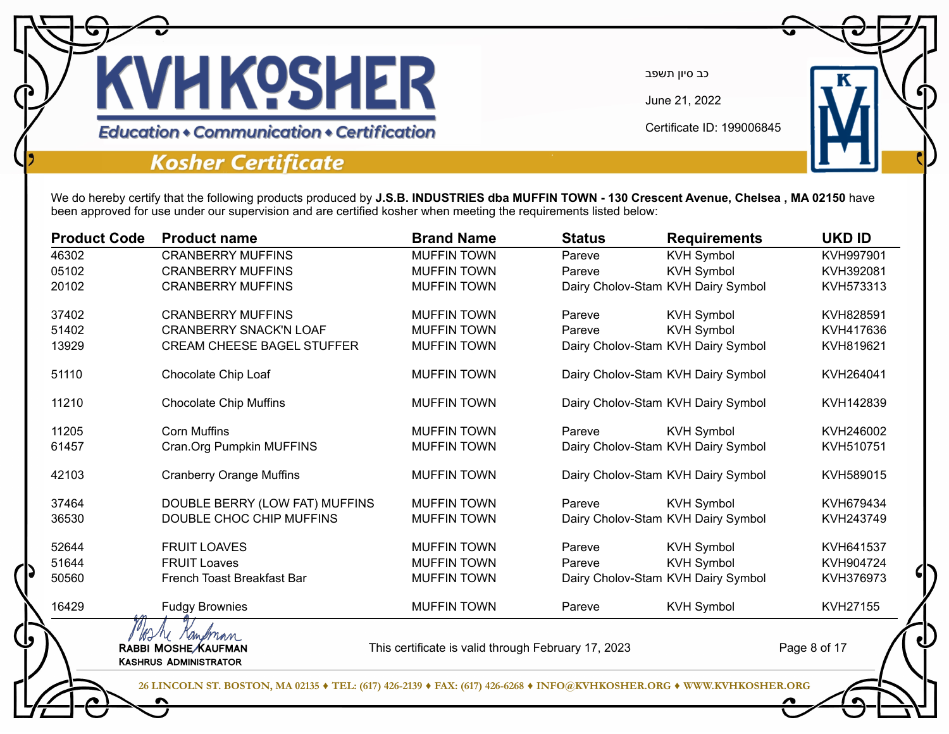

June 21, 2022

Certificate ID: 199006845

**Education • Communication • Certification** 

## **Kosher Certificate**

We do hereby certify that the following products produced by **J.S.B. INDUSTRIES dba MUFFIN TOWN - 130 Crescent Avenue, Chelsea , MA 02150** have been approved for use under our supervision and are certified kosher when meeting the requirements listed below:

| <b>Product Code</b> | <b>Product name</b>                                                                                                  | <b>Brand Name</b>                                   | <b>Status</b> | <b>Requirements</b>                | <b>UKD ID</b> |
|---------------------|----------------------------------------------------------------------------------------------------------------------|-----------------------------------------------------|---------------|------------------------------------|---------------|
| 46302               | <b>CRANBERRY MUFFINS</b>                                                                                             | <b>MUFFIN TOWN</b>                                  | Pareve        | <b>KVH Symbol</b>                  | KVH997901     |
| 05102               | <b>CRANBERRY MUFFINS</b>                                                                                             | <b>MUFFIN TOWN</b>                                  | Pareve        | <b>KVH Symbol</b>                  | KVH392081     |
| 20102               | <b>CRANBERRY MUFFINS</b>                                                                                             | <b>MUFFIN TOWN</b>                                  |               | Dairy Cholov-Stam KVH Dairy Symbol | KVH573313     |
| 37402               | <b>CRANBERRY MUFFINS</b>                                                                                             | <b>MUFFIN TOWN</b>                                  | Pareve        | <b>KVH Symbol</b>                  | KVH828591     |
| 51402               | <b>CRANBERRY SNACK'N LOAF</b>                                                                                        | <b>MUFFIN TOWN</b>                                  | Pareve        | <b>KVH Symbol</b>                  | KVH417636     |
| 13929               | <b>CREAM CHEESE BAGEL STUFFER</b>                                                                                    | <b>MUFFIN TOWN</b>                                  |               | Dairy Cholov-Stam KVH Dairy Symbol | KVH819621     |
| 51110               | Chocolate Chip Loaf                                                                                                  | <b>MUFFIN TOWN</b>                                  |               | Dairy Cholov-Stam KVH Dairy Symbol | KVH264041     |
| 11210               | <b>Chocolate Chip Muffins</b>                                                                                        | <b>MUFFIN TOWN</b>                                  |               | Dairy Cholov-Stam KVH Dairy Symbol | KVH142839     |
| 11205               | <b>Corn Muffins</b>                                                                                                  | <b>MUFFIN TOWN</b>                                  | Pareve        | <b>KVH Symbol</b>                  | KVH246002     |
| 61457               | Cran.Org Pumpkin MUFFINS                                                                                             | <b>MUFFIN TOWN</b>                                  |               | Dairy Cholov-Stam KVH Dairy Symbol | KVH510751     |
| 42103               | <b>Cranberry Orange Muffins</b>                                                                                      | <b>MUFFIN TOWN</b>                                  |               | Dairy Cholov-Stam KVH Dairy Symbol | KVH589015     |
| 37464               | DOUBLE BERRY (LOW FAT) MUFFINS                                                                                       | <b>MUFFIN TOWN</b>                                  | Pareve        | <b>KVH Symbol</b>                  | KVH679434     |
| 36530               | DOUBLE CHOC CHIP MUFFINS                                                                                             | <b>MUFFIN TOWN</b>                                  |               | Dairy Cholov-Stam KVH Dairy Symbol | KVH243749     |
| 52644               | <b>FRUIT LOAVES</b>                                                                                                  | <b>MUFFIN TOWN</b>                                  | Pareve        | <b>KVH Symbol</b>                  | KVH641537     |
| 51644               | <b>FRUIT Loaves</b>                                                                                                  | <b>MUFFIN TOWN</b>                                  | Pareve        | <b>KVH Symbol</b>                  | KVH904724     |
| 50560               | French Toast Breakfast Bar                                                                                           | <b>MUFFIN TOWN</b>                                  |               | Dairy Cholov-Stam KVH Dairy Symbol | KVH376973     |
| 16429               | <b>Fudgy Brownies</b>                                                                                                | <b>MUFFIN TOWN</b>                                  | Pareve        | <b>KVH Symbol</b>                  | KVH27155      |
|                     | re randman<br>RABBI MOSHE/KAUFMAN                                                                                    | This certificate is valid through February 17, 2023 |               |                                    | Page 8 of 17  |
|                     | <b>KASHRUS ADMINISTRATOR</b>                                                                                         |                                                     |               |                                    |               |
|                     | 26 LINCOLN ST. BOSTON, MA 02135 ♦ TEL: (617) 426-2139 ♦ FAX: (617) 426-6268 ♦ INFO@KVHKOSHER.ORG ♦ WWW.KVHKOSHER.ORG |                                                     |               |                                    |               |
|                     |                                                                                                                      |                                                     |               |                                    |               |
|                     |                                                                                                                      |                                                     |               |                                    |               |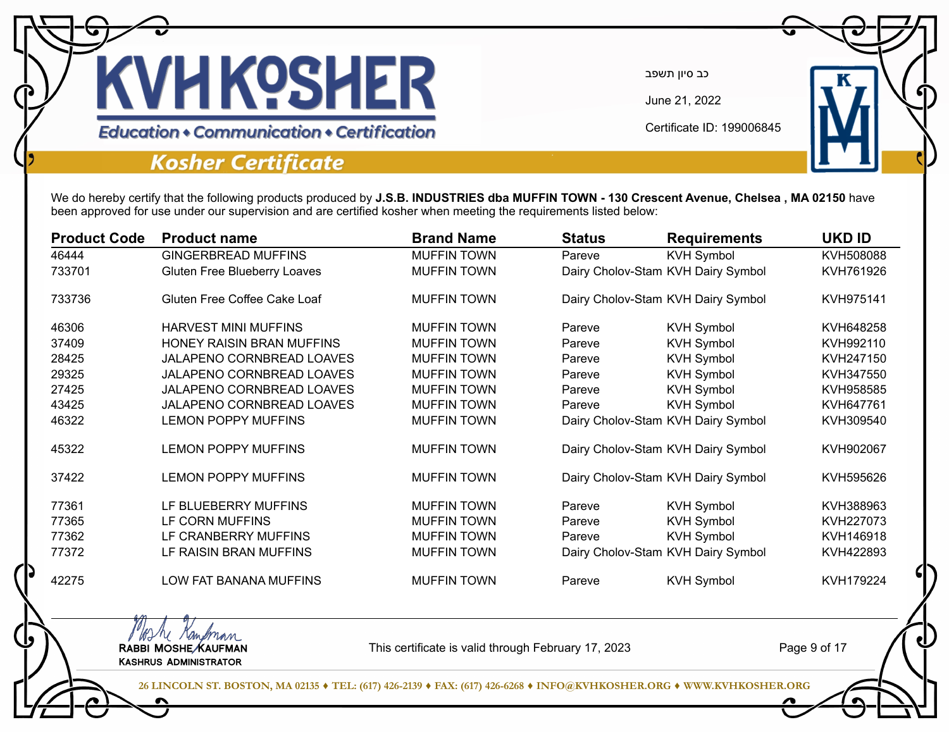

June 21, 2022

Certificate ID: 199006845

**Education • Communication • Certification** 

### **Kosher Certificate**

MAN Kampman<br>RABBI MOSHE KAUFMAN Kashrus Administrator

We do hereby certify that the following products produced by **J.S.B. INDUSTRIES dba MUFFIN TOWN - 130 Crescent Avenue, Chelsea , MA 02150** have been approved for use under our supervision and are certified kosher when meeting the requirements listed below:

| <b>Product Code</b> | <b>Product name</b>          | <b>Brand Name</b>  | <b>Status</b> | <b>Requirements</b>                | <b>UKD ID</b> |
|---------------------|------------------------------|--------------------|---------------|------------------------------------|---------------|
| 46444               | <b>GINGERBREAD MUFFINS</b>   | <b>MUFFIN TOWN</b> | Pareve        | <b>KVH Symbol</b>                  | KVH508088     |
| 733701              | Gluten Free Blueberry Loaves | <b>MUFFIN TOWN</b> |               | Dairy Cholov-Stam KVH Dairy Symbol | KVH761926     |
| 733736              | Gluten Free Coffee Cake Loaf | <b>MUFFIN TOWN</b> |               | Dairy Cholov-Stam KVH Dairy Symbol | KVH975141     |
| 46306               | <b>HARVEST MINI MUFFINS</b>  | <b>MUFFIN TOWN</b> | Pareve        | <b>KVH Symbol</b>                  | KVH648258     |
| 37409               | HONEY RAISIN BRAN MUFFINS    | <b>MUFFIN TOWN</b> | Pareve        | <b>KVH Symbol</b>                  | KVH992110     |
| 28425               | JALAPENO CORNBREAD LOAVES    | <b>MUFFIN TOWN</b> | Pareve        | <b>KVH Symbol</b>                  | KVH247150     |
| 29325               | JALAPENO CORNBREAD LOAVES    | <b>MUFFIN TOWN</b> | Pareve        | <b>KVH Symbol</b>                  | KVH347550     |
| 27425               | JALAPENO CORNBREAD LOAVES    | <b>MUFFIN TOWN</b> | Pareve        | <b>KVH Symbol</b>                  | KVH958585     |
| 43425               | JALAPENO CORNBREAD LOAVES    | <b>MUFFIN TOWN</b> | Pareve        | <b>KVH Symbol</b>                  | KVH647761     |
| 46322               | <b>LEMON POPPY MUFFINS</b>   | <b>MUFFIN TOWN</b> |               | Dairy Cholov-Stam KVH Dairy Symbol | KVH309540     |
| 45322               | <b>LEMON POPPY MUFFINS</b>   | <b>MUFFIN TOWN</b> |               | Dairy Cholov-Stam KVH Dairy Symbol | KVH902067     |
| 37422               | <b>LEMON POPPY MUFFINS</b>   | <b>MUFFIN TOWN</b> |               | Dairy Cholov-Stam KVH Dairy Symbol | KVH595626     |
| 77361               | LF BLUEBERRY MUFFINS         | <b>MUFFIN TOWN</b> | Pareve        | <b>KVH Symbol</b>                  | KVH388963     |
| 77365               | LF CORN MUFFINS              | <b>MUFFIN TOWN</b> | Pareve        | <b>KVH Symbol</b>                  | KVH227073     |
| 77362               | LF CRANBERRY MUFFINS         | <b>MUFFIN TOWN</b> | Pareve        | <b>KVH Symbol</b>                  | KVH146918     |
| 77372               | LF RAISIN BRAN MUFFINS       | <b>MUFFIN TOWN</b> |               | Dairy Cholov-Stam KVH Dairy Symbol | KVH422893     |
| 42275               | LOW FAT BANANA MUFFINS       | <b>MUFFIN TOWN</b> | Pareve        | <b>KVH Symbol</b>                  | KVH179224     |

This certificate is valid through February 17, 2023

Page 9 of 17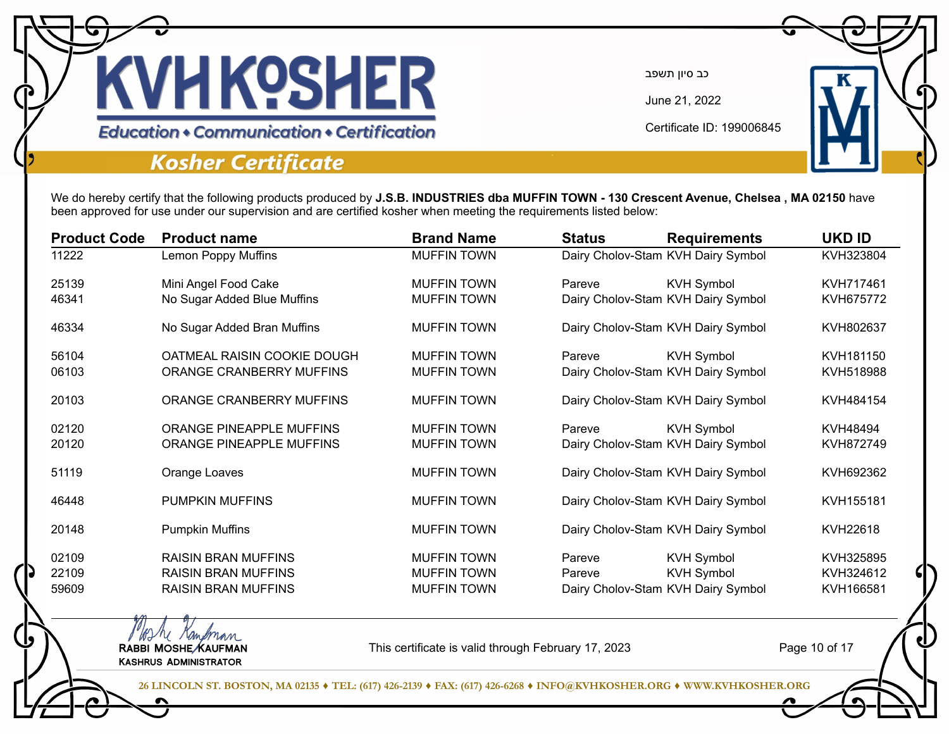

June 21, 2022

Certificate ID: 199006845

**Education • Communication • Certification** 

### **Kosher Certificate**

MAN Kampman<br>RABBI MOSHE KAUFMAN Kashrus Administrator

We do hereby certify that the following products produced by **J.S.B. INDUSTRIES dba MUFFIN TOWN - 130 Crescent Avenue, Chelsea , MA 02150** have been approved for use under our supervision and are certified kosher when meeting the requirements listed below:

| <b>Product Code</b> | <b>Product name</b>         | <b>Brand Name</b>  | <b>Status</b> | <b>Requirements</b>                | <b>UKD ID</b> |
|---------------------|-----------------------------|--------------------|---------------|------------------------------------|---------------|
| 11222               | <b>Lemon Poppy Muffins</b>  | <b>MUFFIN TOWN</b> |               | Dairy Cholov-Stam KVH Dairy Symbol | KVH323804     |
| 25139               | Mini Angel Food Cake        | <b>MUFFIN TOWN</b> | Pareve        | <b>KVH Symbol</b>                  | KVH717461     |
| 46341               | No Sugar Added Blue Muffins | <b>MUFFIN TOWN</b> |               | Dairy Cholov-Stam KVH Dairy Symbol | KVH675772     |
| 46334               | No Sugar Added Bran Muffins | <b>MUFFIN TOWN</b> |               | Dairy Cholov-Stam KVH Dairy Symbol | KVH802637     |
| 56104               | OATMEAL RAISIN COOKIE DOUGH | <b>MUFFIN TOWN</b> | Pareve        | <b>KVH Symbol</b>                  | KVH181150     |
| 06103               | ORANGE CRANBERRY MUFFINS    | <b>MUFFIN TOWN</b> |               | Dairy Cholov-Stam KVH Dairy Symbol | KVH518988     |
| 20103               | ORANGE CRANBERRY MUFFINS    | <b>MUFFIN TOWN</b> |               | Dairy Cholov-Stam KVH Dairy Symbol | KVH484154     |
| 02120               | ORANGE PINEAPPLE MUFFINS    | <b>MUFFIN TOWN</b> | Pareve        | <b>KVH Symbol</b>                  | KVH48494      |
| 20120               | ORANGE PINEAPPLE MUFFINS    | <b>MUFFIN TOWN</b> |               | Dairy Cholov-Stam KVH Dairy Symbol | KVH872749     |
| 51119               | Orange Loaves               | <b>MUFFIN TOWN</b> |               | Dairy Cholov-Stam KVH Dairy Symbol | KVH692362     |
| 46448               | <b>PUMPKIN MUFFINS</b>      | <b>MUFFIN TOWN</b> |               | Dairy Cholov-Stam KVH Dairy Symbol | KVH155181     |
| 20148               | <b>Pumpkin Muffins</b>      | <b>MUFFIN TOWN</b> |               | Dairy Cholov-Stam KVH Dairy Symbol | KVH22618      |
| 02109               | <b>RAISIN BRAN MUFFINS</b>  | <b>MUFFIN TOWN</b> | Pareve        | <b>KVH Symbol</b>                  | KVH325895     |
| 22109               | <b>RAISIN BRAN MUFFINS</b>  | <b>MUFFIN TOWN</b> | Pareve        | <b>KVH Symbol</b>                  | KVH324612     |
| 59609               | <b>RAISIN BRAN MUFFINS</b>  | <b>MUFFIN TOWN</b> |               | Dairy Cholov-Stam KVH Dairy Symbol | KVH166581     |

This certificate is valid through February 17, 2023

Page 10 of 17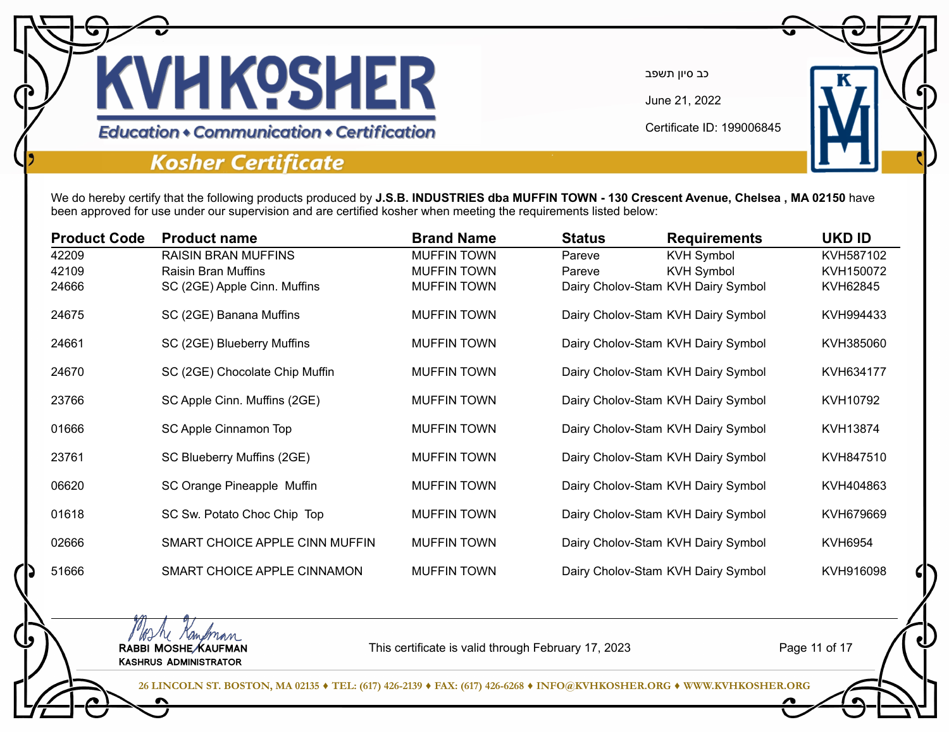

June 21, 2022

Certificate ID: 199006845

**Education • Communication • Certification** 

### **Kosher Certificate**

We do hereby certify that the following products produced by **J.S.B. INDUSTRIES dba MUFFIN TOWN - 130 Crescent Avenue, Chelsea , MA 02150** have been approved for use under our supervision and are certified kosher when meeting the requirements listed below:

| <b>Product Code</b> | <b>Product name</b>            | <b>Brand Name</b>  | <b>Status</b> | <b>Requirements</b>                | <b>UKD ID</b>  |
|---------------------|--------------------------------|--------------------|---------------|------------------------------------|----------------|
| 42209               | <b>RAISIN BRAN MUFFINS</b>     | <b>MUFFIN TOWN</b> | Pareve        | <b>KVH Symbol</b>                  | KVH587102      |
| 42109               | <b>Raisin Bran Muffins</b>     | <b>MUFFIN TOWN</b> | Pareve        | <b>KVH Symbol</b>                  | KVH150072      |
| 24666               | SC (2GE) Apple Cinn. Muffins   | <b>MUFFIN TOWN</b> |               | Dairy Cholov-Stam KVH Dairy Symbol | KVH62845       |
| 24675               | SC (2GE) Banana Muffins        | <b>MUFFIN TOWN</b> |               | Dairy Cholov-Stam KVH Dairy Symbol | KVH994433      |
| 24661               | SC (2GE) Blueberry Muffins     | <b>MUFFIN TOWN</b> |               | Dairy Cholov-Stam KVH Dairy Symbol | KVH385060      |
| 24670               | SC (2GE) Chocolate Chip Muffin | <b>MUFFIN TOWN</b> |               | Dairy Cholov-Stam KVH Dairy Symbol | KVH634177      |
| 23766               | SC Apple Cinn. Muffins (2GE)   | <b>MUFFIN TOWN</b> |               | Dairy Cholov-Stam KVH Dairy Symbol | KVH10792       |
| 01666               | SC Apple Cinnamon Top          | <b>MUFFIN TOWN</b> |               | Dairy Cholov-Stam KVH Dairy Symbol | KVH13874       |
| 23761               | SC Blueberry Muffins (2GE)     | <b>MUFFIN TOWN</b> |               | Dairy Cholov-Stam KVH Dairy Symbol | KVH847510      |
| 06620               | SC Orange Pineapple Muffin     | <b>MUFFIN TOWN</b> |               | Dairy Cholov-Stam KVH Dairy Symbol | KVH404863      |
| 01618               | SC Sw. Potato Choc Chip Top    | <b>MUFFIN TOWN</b> |               | Dairy Cholov-Stam KVH Dairy Symbol | KVH679669      |
| 02666               | SMART CHOICE APPLE CINN MUFFIN | <b>MUFFIN TOWN</b> |               | Dairy Cholov-Stam KVH Dairy Symbol | <b>KVH6954</b> |
| 51666               | SMART CHOICE APPLE CINNAMON    | <b>MUFFIN TOWN</b> |               | Dairy Cholov-Stam KVH Dairy Symbol | KVH916098      |

MAN Kampman<br>RABBI MOSHE KAUFMAN Kashrus Administrator

This certificate is valid through February 17, 2023

Page 11 of 17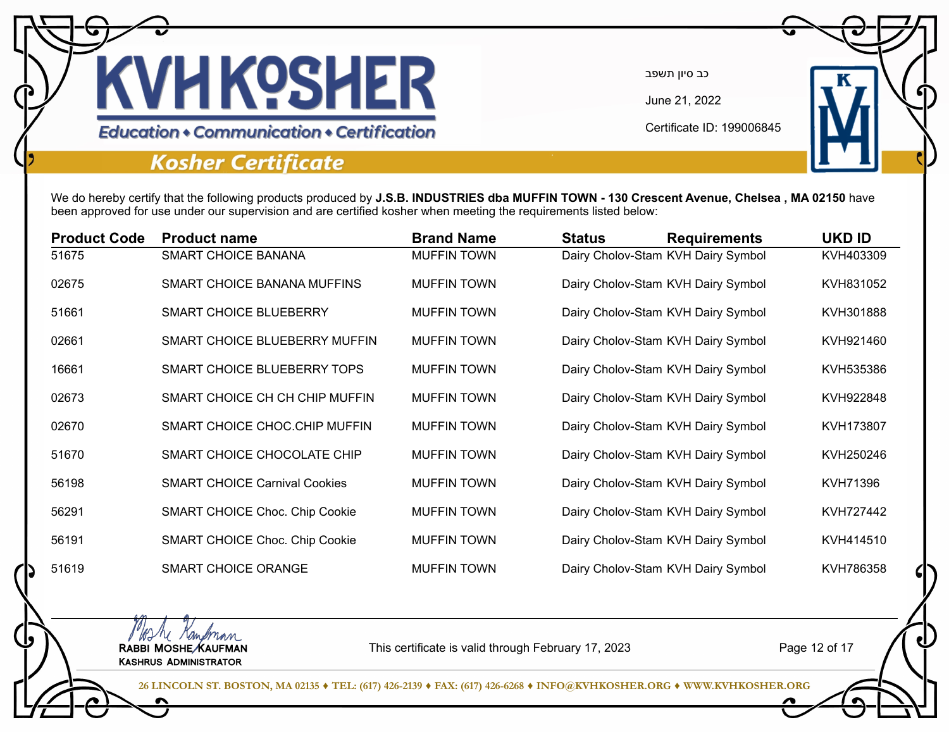

June 21, 2022

Certificate ID: 199006845

# **Education • Communication • Certification**

### **Kosher Certificate**

We do hereby certify that the following products produced by **J.S.B. INDUSTRIES dba MUFFIN TOWN - 130 Crescent Avenue, Chelsea , MA 02150** have been approved for use under our supervision and are certified kosher when meeting the requirements listed below:

| <b>Product Code</b> | <b>Product name</b>                   | <b>Brand Name</b>  | <b>Status</b> | <b>Requirements</b>                | <b>UKD ID</b> |
|---------------------|---------------------------------------|--------------------|---------------|------------------------------------|---------------|
| 51675               | <b>SMART CHOICE BANANA</b>            | <b>MUFFIN TOWN</b> |               | Dairy Cholov-Stam KVH Dairy Symbol | KVH403309     |
| 02675               | SMART CHOICE BANANA MUFFINS           | <b>MUFFIN TOWN</b> |               | Dairy Cholov-Stam KVH Dairy Symbol | KVH831052     |
| 51661               | <b>SMART CHOICE BLUEBERRY</b>         | <b>MUFFIN TOWN</b> |               | Dairy Cholov-Stam KVH Dairy Symbol | KVH301888     |
| 02661               | SMART CHOICE BLUEBERRY MUFFIN         | <b>MUFFIN TOWN</b> |               | Dairy Cholov-Stam KVH Dairy Symbol | KVH921460     |
| 16661               | SMART CHOICE BLUEBERRY TOPS           | <b>MUFFIN TOWN</b> |               | Dairy Cholov-Stam KVH Dairy Symbol | KVH535386     |
| 02673               | SMART CHOICE CH CH CHIP MUFFIN        | <b>MUFFIN TOWN</b> |               | Dairy Cholov-Stam KVH Dairy Symbol | KVH922848     |
| 02670               | SMART CHOICE CHOC.CHIP MUFFIN         | <b>MUFFIN TOWN</b> |               | Dairy Cholov-Stam KVH Dairy Symbol | KVH173807     |
| 51670               | SMART CHOICE CHOCOLATE CHIP           | <b>MUFFIN TOWN</b> |               | Dairy Cholov-Stam KVH Dairy Symbol | KVH250246     |
| 56198               | <b>SMART CHOICE Carnival Cookies</b>  | <b>MUFFIN TOWN</b> |               | Dairy Cholov-Stam KVH Dairy Symbol | KVH71396      |
| 56291               | <b>SMART CHOICE Choc. Chip Cookie</b> | <b>MUFFIN TOWN</b> |               | Dairy Cholov-Stam KVH Dairy Symbol | KVH727442     |
| 56191               | <b>SMART CHOICE Choc. Chip Cookie</b> | <b>MUFFIN TOWN</b> |               | Dairy Cholov-Stam KVH Dairy Symbol | KVH414510     |
| 51619               | <b>SMART CHOICE ORANGE</b>            | <b>MUFFIN TOWN</b> |               | Dairy Cholov-Stam KVH Dairy Symbol | KVH786358     |

MAN Kampman<br>RABBI MOSHE KAUFMAN Kashrus Administrator

This certificate is valid through February 17, 2023

Page 12 of 17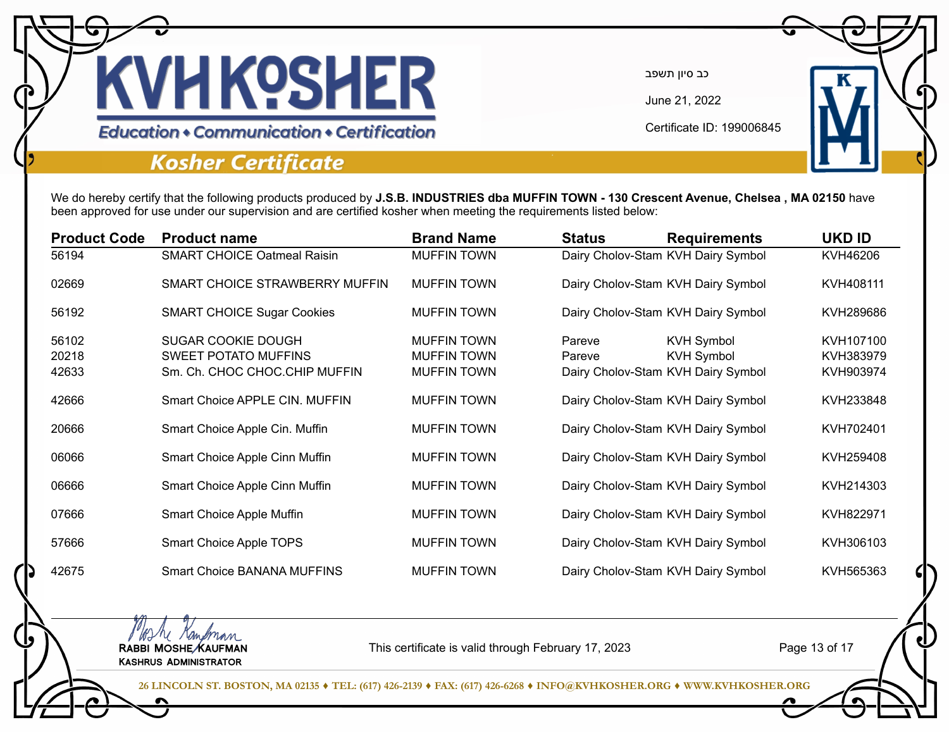

June 21, 2022

Certificate ID: 199006845

**Education • Communication • Certification** 

### **Kosher Certificate**

We do hereby certify that the following products produced by **J.S.B. INDUSTRIES dba MUFFIN TOWN - 130 Crescent Avenue, Chelsea , MA 02150** have been approved for use under our supervision and are certified kosher when meeting the requirements listed below:

| <b>Product Code</b> | <b>Product name</b>                | <b>Brand Name</b>  | <b>Status</b> | <b>Requirements</b>                | <b>UKD ID</b> |
|---------------------|------------------------------------|--------------------|---------------|------------------------------------|---------------|
| 56194               | <b>SMART CHOICE Oatmeal Raisin</b> | <b>MUFFIN TOWN</b> |               | Dairy Cholov-Stam KVH Dairy Symbol | KVH46206      |
| 02669               | SMART CHOICE STRAWBERRY MUFFIN     | <b>MUFFIN TOWN</b> |               | Dairy Cholov-Stam KVH Dairy Symbol | KVH408111     |
| 56192               | <b>SMART CHOICE Sugar Cookies</b>  | <b>MUFFIN TOWN</b> |               | Dairy Cholov-Stam KVH Dairy Symbol | KVH289686     |
| 56102               | <b>SUGAR COOKIE DOUGH</b>          | <b>MUFFIN TOWN</b> | Pareve        | <b>KVH Symbol</b>                  | KVH107100     |
| 20218               | <b>SWEET POTATO MUFFINS</b>        | <b>MUFFIN TOWN</b> | Pareve        | <b>KVH Symbol</b>                  | KVH383979     |
| 42633               | Sm. Ch. CHOC CHOC CHIP MUFFIN      | <b>MUFFIN TOWN</b> |               | Dairy Cholov-Stam KVH Dairy Symbol | KVH903974     |
| 42666               | Smart Choice APPLE CIN, MUFFIN     | <b>MUFFIN TOWN</b> |               | Dairy Cholov-Stam KVH Dairy Symbol | KVH233848     |
| 20666               | Smart Choice Apple Cin. Muffin     | <b>MUFFIN TOWN</b> |               | Dairy Cholov-Stam KVH Dairy Symbol | KVH702401     |
| 06066               | Smart Choice Apple Cinn Muffin     | <b>MUFFIN TOWN</b> |               | Dairy Cholov-Stam KVH Dairy Symbol | KVH259408     |
| 06666               | Smart Choice Apple Cinn Muffin     | <b>MUFFIN TOWN</b> |               | Dairy Cholov-Stam KVH Dairy Symbol | KVH214303     |
| 07666               | Smart Choice Apple Muffin          | <b>MUFFIN TOWN</b> |               | Dairy Cholov-Stam KVH Dairy Symbol | KVH822971     |
| 57666               | Smart Choice Apple TOPS            | <b>MUFFIN TOWN</b> |               | Dairy Cholov-Stam KVH Dairy Symbol | KVH306103     |
| 42675               | Smart Choice BANANA MUFFINS        | <b>MUFFIN TOWN</b> |               | Dairy Cholov-Stam KVH Dairy Symbol | KVH565363     |

MAN Kampman<br>RABBI MOSHE KAUFMAN Kashrus Administrator

This certificate is valid through February 17, 2023

Page 13 of 17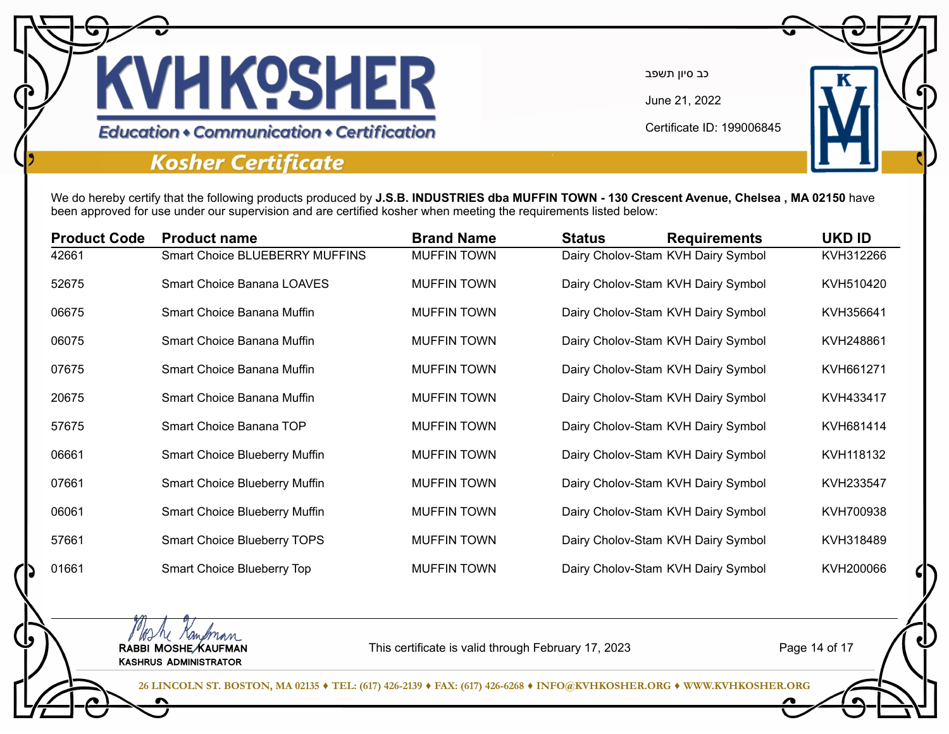

June 21, 2022

Certificate ID: 199006845

# **Education • Communication • Certification**

### **Kosher Certificate**

We do hereby certify that the following products produced by **J.S.B. INDUSTRIES dba MUFFIN TOWN - 130 Crescent Avenue, Chelsea , MA 02150** have been approved for use under our supervision and are certified kosher when meeting the requirements listed below:

| <b>Product Code</b> | <b>Product name</b>                   | <b>Brand Name</b>  | <b>Status</b> | <b>Requirements</b>                | UKD ID    |
|---------------------|---------------------------------------|--------------------|---------------|------------------------------------|-----------|
| 42661               | <b>Smart Choice BLUEBERRY MUFFINS</b> | <b>MUFFIN TOWN</b> |               | Dairy Cholov-Stam KVH Dairy Symbol | KVH312266 |
| 52675               | <b>Smart Choice Banana LOAVES</b>     | <b>MUFFIN TOWN</b> |               | Dairy Cholov-Stam KVH Dairy Symbol | KVH510420 |
| 06675               | Smart Choice Banana Muffin            | <b>MUFFIN TOWN</b> |               | Dairy Cholov-Stam KVH Dairy Symbol | KVH356641 |
| 06075               | Smart Choice Banana Muffin            | <b>MUFFIN TOWN</b> |               | Dairy Cholov-Stam KVH Dairy Symbol | KVH248861 |
| 07675               | Smart Choice Banana Muffin            | <b>MUFFIN TOWN</b> |               | Dairy Cholov-Stam KVH Dairy Symbol | KVH661271 |
| 20675               | Smart Choice Banana Muffin            | <b>MUFFIN TOWN</b> |               | Dairy Cholov-Stam KVH Dairy Symbol | KVH433417 |
| 57675               | Smart Choice Banana TOP               | <b>MUFFIN TOWN</b> |               | Dairy Cholov-Stam KVH Dairy Symbol | KVH681414 |
| 06661               | Smart Choice Blueberry Muffin         | <b>MUFFIN TOWN</b> |               | Dairy Cholov-Stam KVH Dairy Symbol | KVH118132 |
| 07661               | <b>Smart Choice Blueberry Muffin</b>  | <b>MUFFIN TOWN</b> |               | Dairy Cholov-Stam KVH Dairy Symbol | KVH233547 |
| 06061               | <b>Smart Choice Blueberry Muffin</b>  | <b>MUFFIN TOWN</b> |               | Dairy Cholov-Stam KVH Dairy Symbol | KVH700938 |
| 57661               | <b>Smart Choice Blueberry TOPS</b>    | <b>MUFFIN TOWN</b> |               | Dairy Cholov-Stam KVH Dairy Symbol | KVH318489 |
| 01661               | Smart Choice Blueberry Top            | <b>MUFFIN TOWN</b> |               | Dairy Cholov-Stam KVH Dairy Symbol | KVH200066 |

MAN Kampman<br>RABBI MOSHE KAUFMAN Kashrus Administrator

This certificate is valid through February 17, 2023

Page 14 of 17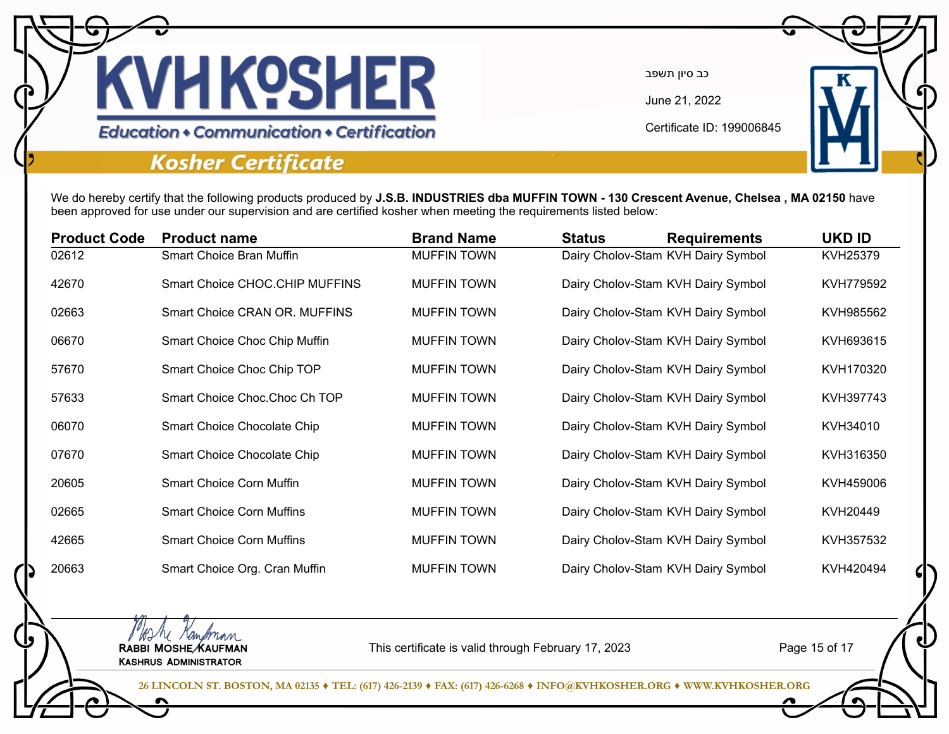

June 21, 2022

Certificate ID: 199006845

### **Education • Communication • Certification**

### **Kosher Certificate**

We do hereby certify that the following products produced by **J.S.B. INDUSTRIES dba MUFFIN TOWN - 130 Crescent Avenue, Chelsea , MA 02150** have been approved for use under our supervision and are certified kosher when meeting the requirements listed below:

| <b>Product Code</b> | <b>Product name</b>              | <b>Brand Name</b>  | <b>Status</b> | <b>Requirements</b>                | <b>UKD ID</b> |
|---------------------|----------------------------------|--------------------|---------------|------------------------------------|---------------|
| 02612               | Smart Choice Bran Muffin         | <b>MUFFIN TOWN</b> |               | Dairy Cholov-Stam KVH Dairy Symbol | KVH25379      |
| 42670               | Smart Choice CHOC.CHIP MUFFINS   | <b>MUFFIN TOWN</b> |               | Dairy Cholov-Stam KVH Dairy Symbol | KVH779592     |
| 02663               | Smart Choice CRAN OR. MUFFINS    | <b>MUFFIN TOWN</b> |               | Dairy Cholov-Stam KVH Dairy Symbol | KVH985562     |
| 06670               | Smart Choice Choc Chip Muffin    | <b>MUFFIN TOWN</b> |               | Dairy Cholov-Stam KVH Dairy Symbol | KVH693615     |
| 57670               | Smart Choice Choc Chip TOP       | <b>MUFFIN TOWN</b> |               | Dairy Cholov-Stam KVH Dairy Symbol | KVH170320     |
| 57633               | Smart Choice Choc Choc Ch TOP    | <b>MUFFIN TOWN</b> |               | Dairy Cholov-Stam KVH Dairy Symbol | KVH397743     |
| 06070               | Smart Choice Chocolate Chip      | <b>MUFFIN TOWN</b> |               | Dairy Cholov-Stam KVH Dairy Symbol | KVH34010      |
| 07670               | Smart Choice Chocolate Chip      | <b>MUFFIN TOWN</b> |               | Dairy Cholov-Stam KVH Dairy Symbol | KVH316350     |
| 20605               | <b>Smart Choice Corn Muffin</b>  | <b>MUFFIN TOWN</b> |               | Dairy Cholov-Stam KVH Dairy Symbol | KVH459006     |
| 02665               | <b>Smart Choice Corn Muffins</b> | <b>MUFFIN TOWN</b> |               | Dairy Cholov-Stam KVH Dairy Symbol | KVH20449      |
| 42665               | <b>Smart Choice Corn Muffins</b> | <b>MUFFIN TOWN</b> |               | Dairy Cholov-Stam KVH Dairy Symbol | KVH357532     |
| 20663               | Smart Choice Org. Cran Muffin    | <b>MUFFIN TOWN</b> |               | Dairy Cholov-Stam KVH Dairy Symbol | KVH420494     |

MAN Kampman<br>RABBI MOSHE KAUFMAN Kashrus Administrator

This certificate is valid through February 17, 2023

Page 15 of 17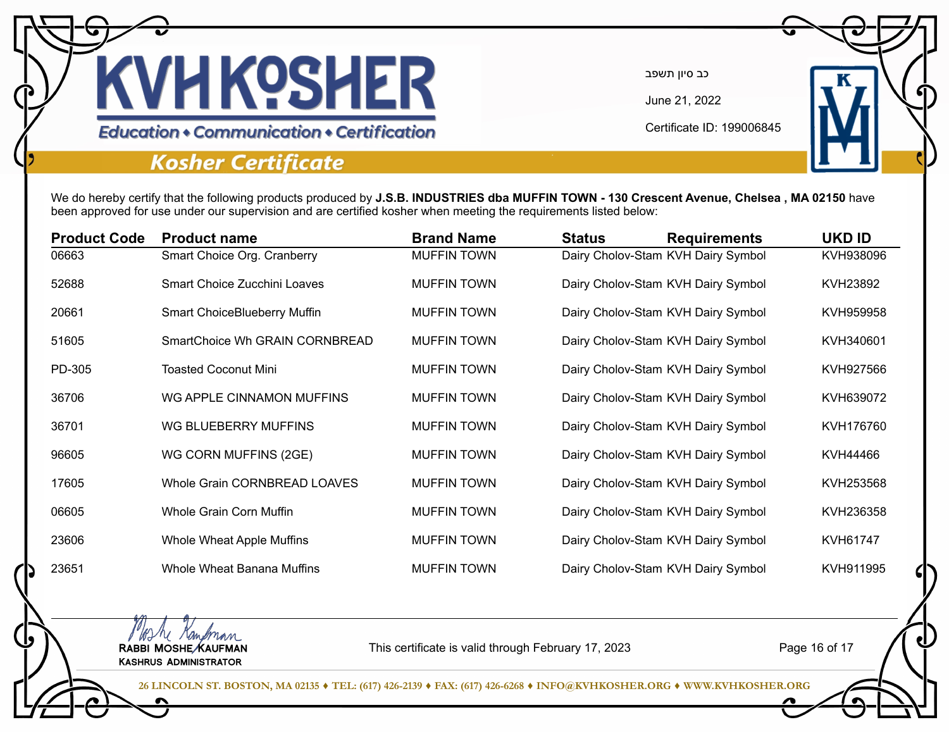

June 21, 2022

Certificate ID: 199006845

#### **Education • Communication • Certification**

### **Kosher Certificate**

MAN Kampman<br>RABBI MOSHE KAUFMAN Kashrus Administrator

We do hereby certify that the following products produced by **J.S.B. INDUSTRIES dba MUFFIN TOWN - 130 Crescent Avenue, Chelsea , MA 02150** have been approved for use under our supervision and are certified kosher when meeting the requirements listed below:

| <b>Product Code</b> | <b>Product name</b>                 | <b>Brand Name</b>  | <b>Status</b> | <b>Requirements</b>                | <b>UKD ID</b> |
|---------------------|-------------------------------------|--------------------|---------------|------------------------------------|---------------|
| 06663               | Smart Choice Org. Cranberry         | <b>MUFFIN TOWN</b> |               | Dairy Cholov-Stam KVH Dairy Symbol | KVH938096     |
| 52688               | Smart Choice Zucchini Loaves        | <b>MUFFIN TOWN</b> |               | Dairy Cholov-Stam KVH Dairy Symbol | KVH23892      |
| 20661               | <b>Smart ChoiceBlueberry Muffin</b> | <b>MUFFIN TOWN</b> |               | Dairy Cholov-Stam KVH Dairy Symbol | KVH959958     |
| 51605               | SmartChoice Wh GRAIN CORNBREAD      | <b>MUFFIN TOWN</b> |               | Dairy Cholov-Stam KVH Dairy Symbol | KVH340601     |
| PD-305              | <b>Toasted Coconut Mini</b>         | <b>MUFFIN TOWN</b> |               | Dairy Cholov-Stam KVH Dairy Symbol | KVH927566     |
| 36706               | WG APPLE CINNAMON MUFFINS           | <b>MUFFIN TOWN</b> |               | Dairy Cholov-Stam KVH Dairy Symbol | KVH639072     |
| 36701               | WG BLUEBERRY MUFFINS                | <b>MUFFIN TOWN</b> |               | Dairy Cholov-Stam KVH Dairy Symbol | KVH176760     |
| 96605               | WG CORN MUFFINS (2GE)               | <b>MUFFIN TOWN</b> |               | Dairy Cholov-Stam KVH Dairy Symbol | KVH44466      |
| 17605               | Whole Grain CORNBREAD LOAVES        | <b>MUFFIN TOWN</b> |               | Dairy Cholov-Stam KVH Dairy Symbol | KVH253568     |
| 06605               | Whole Grain Corn Muffin             | <b>MUFFIN TOWN</b> |               | Dairy Cholov-Stam KVH Dairy Symbol | KVH236358     |
| 23606               | Whole Wheat Apple Muffins           | <b>MUFFIN TOWN</b> |               | Dairy Cholov-Stam KVH Dairy Symbol | KVH61747      |
| 23651               | Whole Wheat Banana Muffins          | <b>MUFFIN TOWN</b> |               | Dairy Cholov-Stam KVH Dairy Symbol | KVH911995     |

This certificate is valid through February 17, 2023

Page 16 of 17